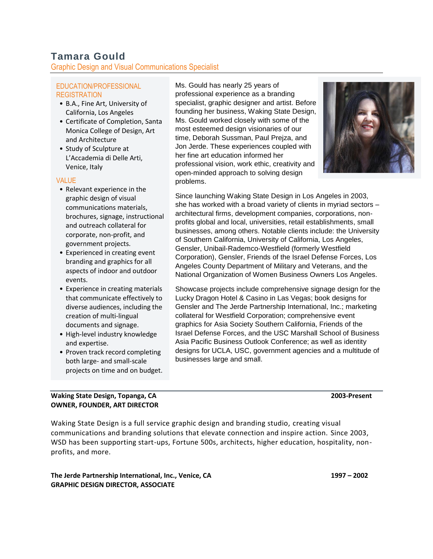# **Tamara Gould**

Graphic Design and Visual Communications Specialist

#### EDUCATION/PROFESSIONAL REGISTRATION

- B.A., Fine Art, University of California, Los Angeles
- Certificate of Completion, Santa Monica College of Design, Art and Architecture
- Study of Sculpture at L'Accademia di Delle Arti, Venice, Italy

## VALUE

- Relevant experience in the graphic design of visual communications materials, brochures, signage, instructional and outreach collateral for corporate, non-profit, and government projects.
- Experienced in creating event branding and graphics for all aspects of indoor and outdoor events.
- Experience in creating materials that communicate effectively to diverse audiences, including the creation of multi-lingual documents and signage.
- High-level industry knowledge and expertise.
- Proven track record completing both large- and small-scale projects on time and on budget.

## **Waking State Design, Topanga, CA 2003-Present OWNER, FOUNDER, ART DIRECTOR**

professional experience as a branding specialist, graphic designer and artist. Before founding her business, Waking State Design, Ms. Gould worked closely with some of the most esteemed design visionaries of our time, Deborah Sussman, Paul Prejza, and Jon Jerde. These experiences coupled with her fine art education informed her professional vision, work ethic, creativity and open-minded approach to solving design

Ms. Gould has nearly 25 years of

problems.



Since launching Waking State Design in Los Angeles in 2003, she has worked with a broad variety of clients in myriad sectors – architectural firms, development companies, corporations, nonprofits global and local, universities, retail establishments, small businesses, among others. Notable clients include: the University of Southern California, University of California, Los Angeles, Gensler, Unibail-Rademco-Westfield (formerly Westfield Corporation), Gensler, Friends of the Israel Defense Forces, Los Angeles County Department of Military and Veterans, and the National Organization of Women Business Owners Los Angeles.

Showcase projects include comprehensive signage design for the Lucky Dragon Hotel & Casino in Las Vegas; book designs for Gensler and The Jerde Partnership International, Inc.; marketing collateral for Westfield Corporation; comprehensive event graphics for Asia Society Southern California, Friends of the Israel Defense Forces, and the USC Marshall School of Business Asia Pacific Business Outlook Conference; as well as identity designs for UCLA, USC, government agencies and a multitude of businesses large and small.

Waking State Design is a full service graphic design and branding studio, creating visual communications and branding solutions that elevate connection and inspire action. Since 2003, WSD has been supporting start-ups, Fortune 500s, architects, higher education, hospitality, nonprofits, and more.

**The Jerde Partnership International, Inc., Venice, CA 1997 – 2002 GRAPHIC DESIGN DIRECTOR, ASSOCIATE**